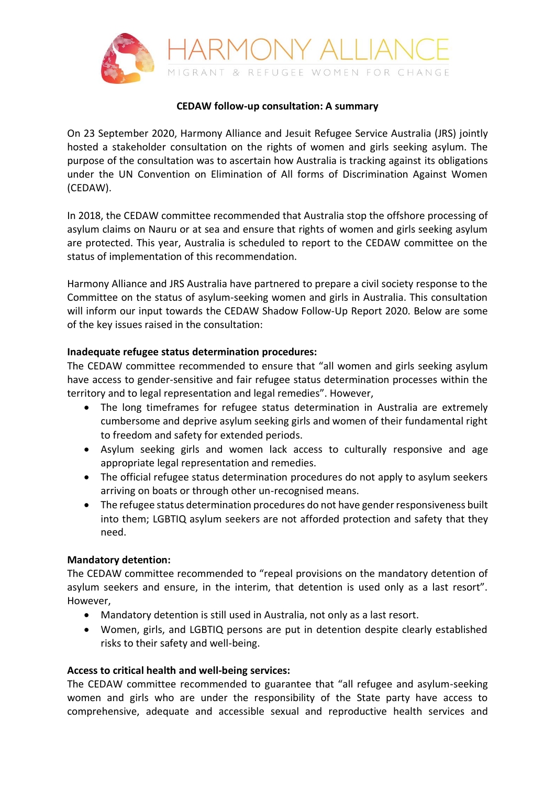

#### **CEDAW follow-up consultation: A summary**

On 23 September 2020, Harmony Alliance and Jesuit Refugee Service Australia (JRS) jointly hosted a stakeholder consultation on the rights of women and girls seeking asylum. The purpose of the consultation was to ascertain how Australia is tracking against its obligations under the UN Convention on Elimination of All forms of Discrimination Against Women (CEDAW).

In 2018, the CEDAW committee recommended that Australia stop the offshore processing of asylum claims on Nauru or at sea and ensure that rights of women and girls seeking asylum are protected. This year, Australia is scheduled to report to the CEDAW committee on the status of implementation of this recommendation.

Harmony Alliance and JRS Australia have partnered to prepare a civil society response to the Committee on the status of asylum-seeking women and girls in Australia. This consultation will inform our input towards the CEDAW Shadow Follow-Up Report 2020. Below are some of the key issues raised in the consultation:

#### **Inadequate refugee status determination procedures:**

The CEDAW committee recommended to ensure that "all women and girls seeking asylum have access to gender-sensitive and fair refugee status determination processes within the territory and to legal representation and legal remedies". However,

- The long timeframes for refugee status determination in Australia are extremely cumbersome and deprive asylum seeking girls and women of their fundamental right to freedom and safety for extended periods.
- Asylum seeking girls and women lack access to culturally responsive and age appropriate legal representation and remedies.
- The official refugee status determination procedures do not apply to asylum seekers arriving on boats or through other un-recognised means.
- The refugee status determination procedures do not have gender responsiveness built into them; LGBTIQ asylum seekers are not afforded protection and safety that they need.

## **Mandatory detention:**

The CEDAW committee recommended to "repeal provisions on the mandatory detention of asylum seekers and ensure, in the interim, that detention is used only as a last resort". However,

- Mandatory detention is still used in Australia, not only as a last resort.
- Women, girls, and LGBTIQ persons are put in detention despite clearly established risks to their safety and well-being.

## **Access to critical health and well-being services:**

The CEDAW committee recommended to guarantee that "all refugee and asylum-seeking women and girls who are under the responsibility of the State party have access to comprehensive, adequate and accessible sexual and reproductive health services and